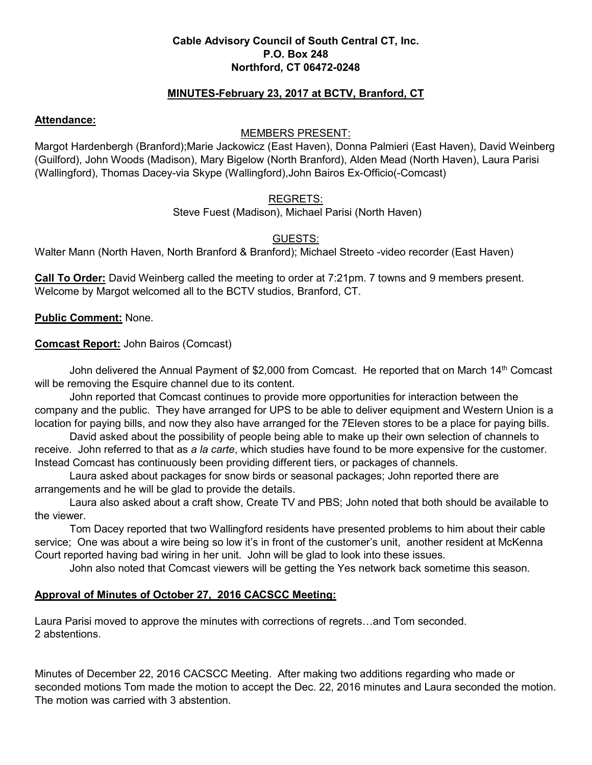## **Cable Advisory Council of South Central CT, Inc. P.O. Box 248 Northford, CT 06472-0248**

# **MINUTES-February 23, 2017 at BCTV, Branford, CT**

#### **Attendance:**

#### MEMBERS PRESENT:

Margot Hardenbergh (Branford);Marie Jackowicz (East Haven), Donna Palmieri (East Haven), David Weinberg (Guilford), John Woods (Madison), Mary Bigelow (North Branford), Alden Mead (North Haven), Laura Parisi (Wallingford), Thomas Dacey-via Skype (Wallingford),John Bairos Ex-Officio(-Comcast)

## REGRETS:

Steve Fuest (Madison), Michael Parisi (North Haven)

# GUESTS:

Walter Mann (North Haven, North Branford & Branford); Michael Streeto -video recorder (East Haven)

**Call To Order:** David Weinberg called the meeting to order at 7:21pm. 7 towns and 9 members present. Welcome by Margot welcomed all to the BCTV studios, Branford, CT.

**Public Comment:** None.

**Comcast Report:** John Bairos (Comcast)

John delivered the Annual Payment of \$2,000 from Comcast. He reported that on March 14<sup>th</sup> Comcast will be removing the Esquire channel due to its content.

 John reported that Comcast continues to provide more opportunities for interaction between the company and the public. They have arranged for UPS to be able to deliver equipment and Western Union is a location for paying bills, and now they also have arranged for the 7Eleven stores to be a place for paying bills.

 David asked about the possibility of people being able to make up their own selection of channels to receive. John referred to that as *a la carte*, which studies have found to be more expensive for the customer. Instead Comcast has continuously been providing different tiers, or packages of channels.

Laura asked about packages for snow birds or seasonal packages; John reported there are arrangements and he will be glad to provide the details.

 Laura also asked about a craft show, Create TV and PBS; John noted that both should be available to the viewer.

Tom Dacey reported that two Wallingford residents have presented problems to him about their cable service; One was about a wire being so low it's in front of the customer's unit, another resident at McKenna Court reported having bad wiring in her unit. John will be glad to look into these issues.

John also noted that Comcast viewers will be getting the Yes network back sometime this season.

# **Approval of Minutes of October 27, 2016 CACSCC Meeting:**

Laura Parisi moved to approve the minutes with corrections of regrets…and Tom seconded. 2 abstentions.

Minutes of December 22, 2016 CACSCC Meeting. After making two additions regarding who made or seconded motions Tom made the motion to accept the Dec. 22, 2016 minutes and Laura seconded the motion. The motion was carried with 3 abstention.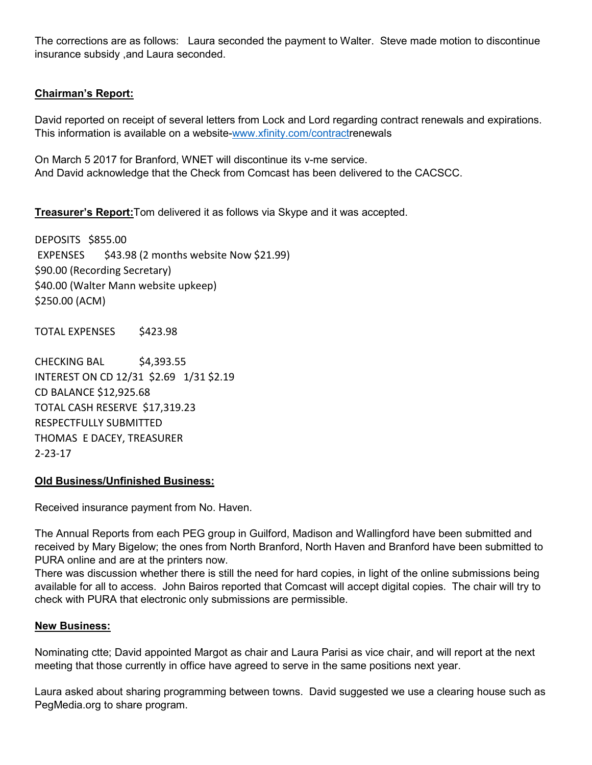The corrections are as follows: Laura seconded the payment to Walter. Steve made motion to discontinue insurance subsidy ,and Laura seconded.

# **Chairman's Report:**

David reported on receipt of several letters from Lock and Lord regarding contract renewals and expirations. This information is available on a website-www.xfinity.com/contractrenewals

On March 5 2017 for Branford, WNET will discontinue its v-me service. And David acknowledge that the Check from Comcast has been delivered to the CACSCC.

**Treasurer's Report:**Tom delivered it as follows via Skype and it was accepted.

DEPOSITS \$855.00 EXPENSES \$43.98 (2 months website Now \$21.99) \$90.00 (Recording Secretary) \$40.00 (Walter Mann website upkeep) \$250.00 (ACM)

TOTAL EXPENSES \$423.98

CHECKING BAL \$4,393.55 INTEREST ON CD 12/31 \$2.69 1/31 \$2.19 CD BALANCE \$12,925.68 TOTAL CASH RESERVE \$17,319.23 RESPECTFULLY SUBMITTED THOMAS E DACEY, TREASURER 2-23-17

#### **Old Business/Unfinished Business:**

Received insurance payment from No. Haven.

The Annual Reports from each PEG group in Guilford, Madison and Wallingford have been submitted and received by Mary Bigelow; the ones from North Branford, North Haven and Branford have been submitted to PURA online and are at the printers now.

There was discussion whether there is still the need for hard copies, in light of the online submissions being available for all to access. John Bairos reported that Comcast will accept digital copies. The chair will try to check with PURA that electronic only submissions are permissible.

#### **New Business:**

Nominating ctte; David appointed Margot as chair and Laura Parisi as vice chair, and will report at the next meeting that those currently in office have agreed to serve in the same positions next year.

Laura asked about sharing programming between towns. David suggested we use a clearing house such as PegMedia.org to share program.